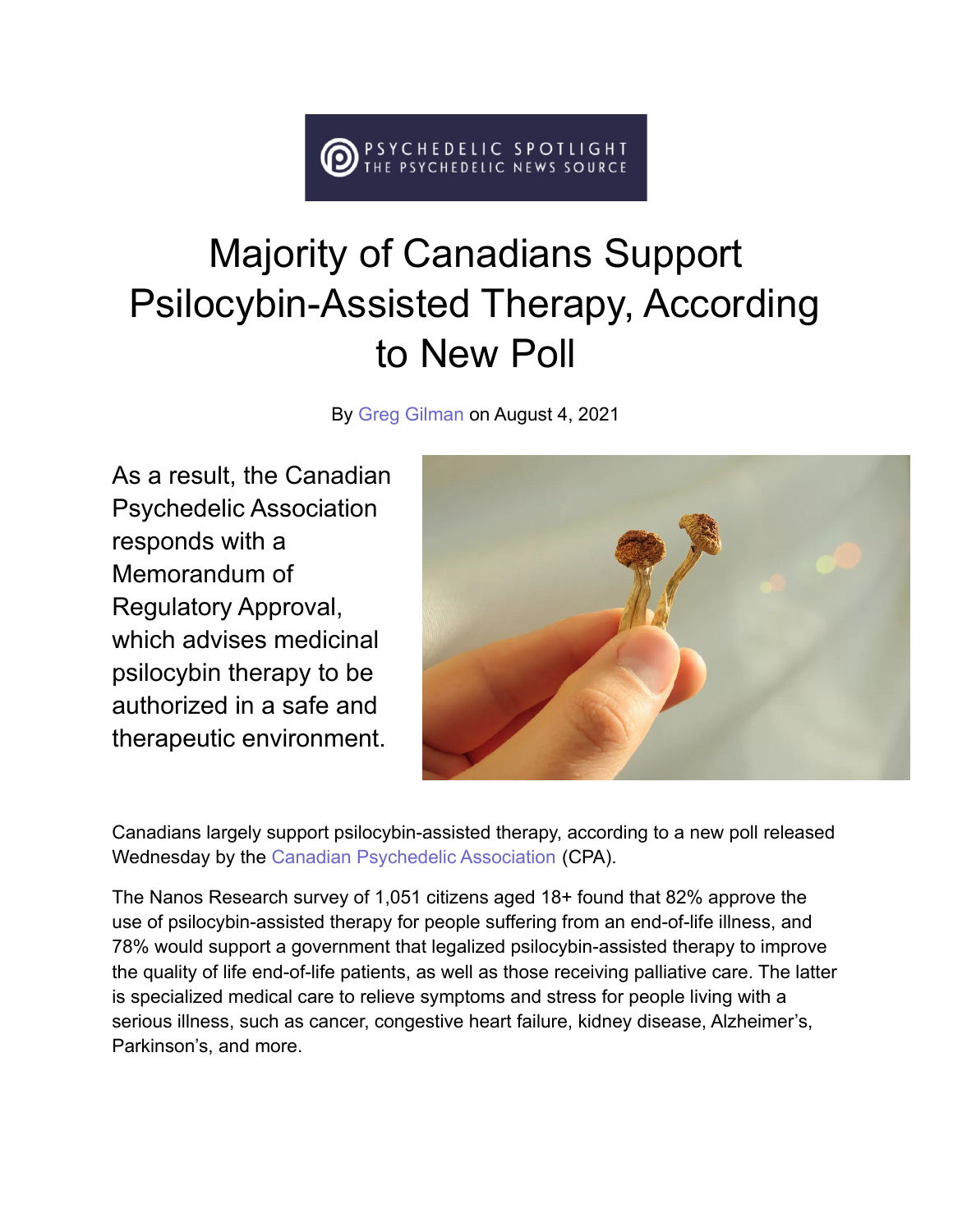## HEDELIC SPOTLIGHT<br>SYCHEDELIC NEWS SOURCE

## Majority of Canadians Support Psilocybin-Assisted Therapy, According to New Poll

By [Greg Gilman](https://psychedelicspotlight.com/author/greg-gilman/) on August 4, 2021

As a result, the Canadian Psychedelic Association responds with a Memorandum of Regulatory Approval, which advises medicinal psilocybin therapy to be authorized in a safe and therapeutic environment.



Canadians largely support psilocybin-assisted therapy, according to a new poll released Wednesday by the [Canadian Psychedelic Association](https://www.psychedelicassociation.net/) (CPA).

The Nanos Research survey of 1,051 citizens aged 18+ found that 82% approve the use of psilocybin-assisted therapy for people suffering from an end-of-life illness, and 78% would support a government that legalized psilocybin-assisted therapy to improve the quality of life end-of-life patients, as well as those receiving palliative care. The latter is specialized medical care to relieve symptoms and stress for people living with a serious illness, such as cancer, congestive heart failure, kidney disease, Alzheimer's, Parkinson's, and more.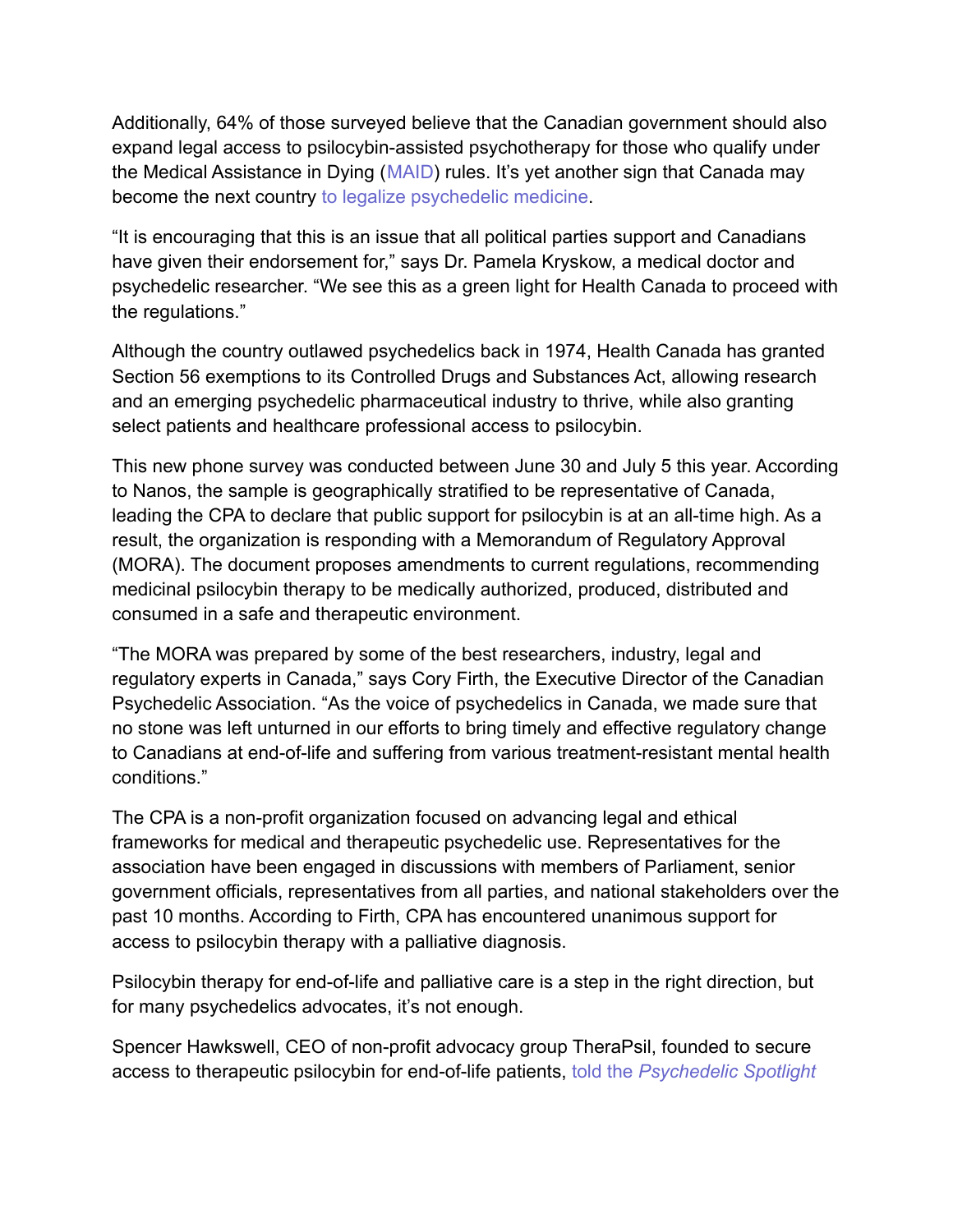Additionally, 64% of those surveyed believe that the Canadian government should also expand legal access to psilocybin-assisted psychotherapy for those who qualify under the Medical Assistance in Dying ([MAID\)](https://www.psychedelicassociation.net/maid-campaign) rules. It's yet another sign that Canada may become the next country [to legalize psychedelic medicine](https://psychedelicspotlight.com/canada-legalizing-psychedelics/).

"It is encouraging that this is an issue that all political parties support and Canadians have given their endorsement for," says Dr. Pamela Kryskow, a medical doctor and psychedelic researcher. "We see this as a green light for Health Canada to proceed with the regulations."

Although the country outlawed psychedelics back in 1974, Health Canada has granted Section 56 exemptions to its Controlled Drugs and Substances Act, allowing research and an emerging psychedelic pharmaceutical industry to thrive, while also granting select patients and healthcare professional access to psilocybin.

This new phone survey was conducted between June 30 and July 5 this year. According to Nanos, the sample is geographically stratified to be representative of Canada, leading the CPA to declare that public support for psilocybin is at an all-time high. As a result, the organization is responding with a Memorandum of Regulatory Approval (MORA). The document proposes amendments to current regulations, recommending medicinal psilocybin therapy to be medically authorized, produced, distributed and consumed in a safe and therapeutic environment.

"The MORA was prepared by some of the best researchers, industry, legal and regulatory experts in Canada," says Cory Firth, the Executive Director of the Canadian Psychedelic Association. "As the voice of psychedelics in Canada, we made sure that no stone was left unturned in our efforts to bring timely and effective regulatory change to Canadians at end-of-life and suffering from various treatment-resistant mental health conditions."

The CPA is a non-profit organization focused on advancing legal and ethical frameworks for medical and therapeutic psychedelic use. Representatives for the association have been engaged in discussions with members of Parliament, senior government officials, representatives from all parties, and national stakeholders over the past 10 months. According to Firth, CPA has encountered unanimous support for access to psilocybin therapy with a palliative diagnosis.

Psilocybin therapy for end-of-life and palliative care is a step in the right direction, but for many psychedelics advocates, it's not enough.

Spencer Hawkswell, CEO of non-profit advocacy group TheraPsil, founded to secure access to therapeutic psilocybin for end-of-life patients, told the *[Psychedelic Spotlight](https://psychedelicspotlight.com/therapsil-therapeutic-psilocybin-access-for-all-canadians/)*